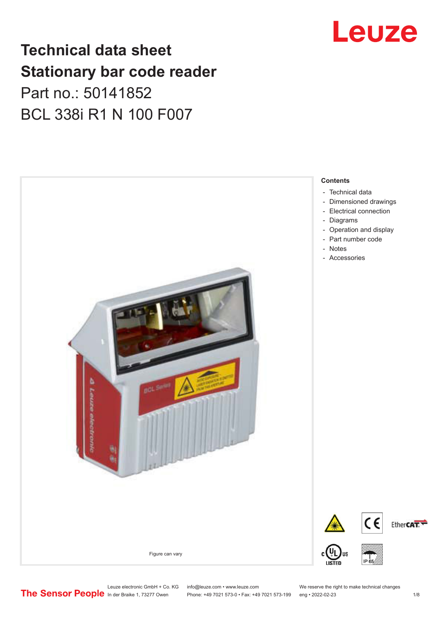## **Technical data sheet Stationary bar code reader** Part no.: 50141852 BCL 338i R1 N 100 F007



## Leuze

Leuze electronic GmbH + Co. KG info@leuze.com • www.leuze.com We reserve the right to make technical changes<br>
The Sensor People in der Braike 1, 73277 Owen Phone: +49 7021 573-0 • Fax: +49 7021 573-199 eng • 2022-02-23

Phone: +49 7021 573-0 • Fax: +49 7021 573-199 eng • 2022-02-23 1 /8

Ether**CAT.**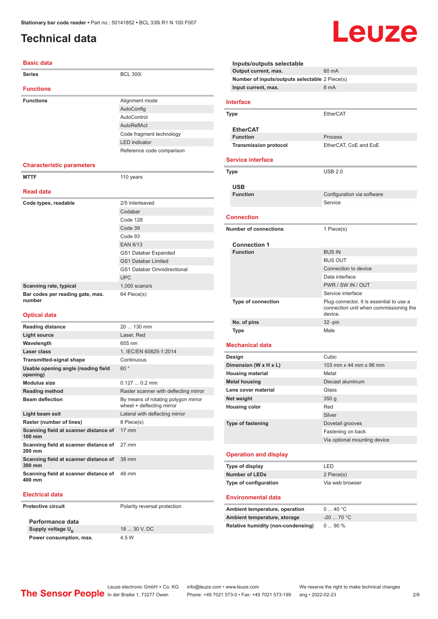### <span id="page-1-0"></span>**Technical data**

#### **Basic data**

| <b>Series</b>                              | <b>BCL 300i</b>                    |
|--------------------------------------------|------------------------------------|
|                                            |                                    |
| <b>Functions</b>                           |                                    |
| <b>Functions</b>                           | Alignment mode                     |
|                                            | AutoConfig                         |
|                                            | AutoControl                        |
|                                            | AutoReflAct                        |
|                                            | Code fragment technology           |
|                                            | <b>LED</b> indicator               |
|                                            | Reference code comparison          |
|                                            |                                    |
| <b>Characteristic parameters</b>           |                                    |
| <b>MTTF</b>                                | 110 years                          |
|                                            |                                    |
| <b>Read data</b>                           |                                    |
| Code types, readable                       | 2/5 Interleaved                    |
|                                            | Codabar                            |
|                                            | Code 128                           |
|                                            | Code 39                            |
|                                            | Code 93                            |
|                                            | <b>EAN 8/13</b>                    |
|                                            | <b>GS1 Databar Expanded</b>        |
|                                            | <b>GS1 Databar Limited</b>         |
|                                            | <b>GS1 Databar Omnidirectional</b> |
|                                            | <b>UPC</b>                         |
| Scanning rate, typical                     | $1,000$ scans/s                    |
| Bar codes per reading gate, max.<br>number | 64 Piece(s)                        |

#### **Optical data**

| <b>Reading distance</b>                                   | $20130$ mm                                                       |
|-----------------------------------------------------------|------------------------------------------------------------------|
| Light source                                              | Laser, Red                                                       |
| Wavelength                                                | 655 nm                                                           |
| Laser class                                               | 1, IEC/EN 60825-1:2014                                           |
| <b>Transmitted-signal shape</b>                           | Continuous                                                       |
| Usable opening angle (reading field<br>opening)           | 60°                                                              |
| Modulus size                                              | $0.1270.2$ mm                                                    |
| <b>Reading method</b>                                     | Raster scanner with deflecting mirror                            |
| <b>Beam deflection</b>                                    | By means of rotating polygon mirror<br>wheel + deflecting mirror |
| Light beam exit                                           | Lateral with deflecting mirror                                   |
| Raster (number of lines)                                  | 8 Piece(s)                                                       |
| Scanning field at scanner distance of<br>$100 \text{ mm}$ | $17 \text{ mm}$                                                  |
| Scanning field at scanner distance of<br>$200 \text{ mm}$ | 27 mm                                                            |
| Scanning field at scanner distance of<br>300 mm           | 38 mm                                                            |
| Scanning field at scanner distance of<br>400 mm           | 48 mm                                                            |

#### **Electrical data**

**Protective circuit** Polarity reversal protection

**Performance data Supply voltage U<sub>B</sub> Power consumption, max.** 4.5 W

18 ... 30 V, DC

| Output current, max.<br>Number of inputs/outputs selectable 2 Piece(s) | 60 mA                                             |
|------------------------------------------------------------------------|---------------------------------------------------|
| Input current, max.                                                    | 8 mA                                              |
|                                                                        |                                                   |
| <b>Interface</b>                                                       |                                                   |
| Type                                                                   | <b>EtherCAT</b>                                   |
| <b>EtherCAT</b>                                                        |                                                   |
| <b>Function</b>                                                        | Process                                           |
| <b>Transmission protocol</b>                                           | EtherCAT, CoE and EoE                             |
| <b>Service interface</b>                                               |                                                   |
| Type                                                                   | <b>USB 2.0</b>                                    |
|                                                                        |                                                   |
| <b>USB</b><br><b>Function</b>                                          |                                                   |
|                                                                        | Configuration via software<br>Service             |
|                                                                        |                                                   |
| <b>Connection</b>                                                      |                                                   |
| <b>Number of connections</b>                                           | 1 Piece(s)                                        |
|                                                                        |                                                   |
| <b>Connection 1</b><br><b>Function</b>                                 | <b>BUS IN</b>                                     |
|                                                                        | <b>BUS OUT</b>                                    |
|                                                                        | Connection to device                              |
|                                                                        | Data interface                                    |
|                                                                        | PWR / SW IN / OUT                                 |
|                                                                        | Service interface                                 |
| <b>Type of connection</b>                                              | Plug connector, It is essential to use a          |
|                                                                        | connection unit when commissioning the<br>device. |
| No. of pins                                                            | 32 -pin                                           |
| Type                                                                   | Male                                              |
| <b>Mechanical data</b>                                                 |                                                   |
| Design                                                                 | Cubic                                             |
| Dimension (W x H x L)                                                  | 103 mm x 44 mm x 96 mm                            |
| <b>Housing material</b>                                                | Metal                                             |
| <b>Metal housing</b>                                                   | Diecast aluminum                                  |
| Lens cover material                                                    | Glass                                             |
| Net weight                                                             | 350 g                                             |
| <b>Housing color</b>                                                   | Red                                               |
|                                                                        | Silver                                            |
| Type of fastening                                                      | Dovetail grooves                                  |
|                                                                        | Fastening on back                                 |
|                                                                        | Via optional mounting device                      |
| <b>Operation and display</b>                                           |                                                   |
| Type of display                                                        | LED                                               |
| <b>Number of LEDs</b>                                                  | 2 Piece(s)                                        |
| Type of configuration                                                  | Via web browser                                   |
| <b>Environmental data</b>                                              |                                                   |
|                                                                        | 040 °C                                            |
|                                                                        |                                                   |
| Ambient temperature, operation<br>Ambient temperature, storage         | $-20$ 70 °C                                       |

Leuze

Leuze electronic GmbH + Co. KG info@leuze.com • www.leuze.com We reserve the right to make technical changes<br>
The Sensor People in der Braike 1, 73277 Owen Phone: +49 7021 573-0 • Fax: +49 7021 573-199 eng • 2022-02-23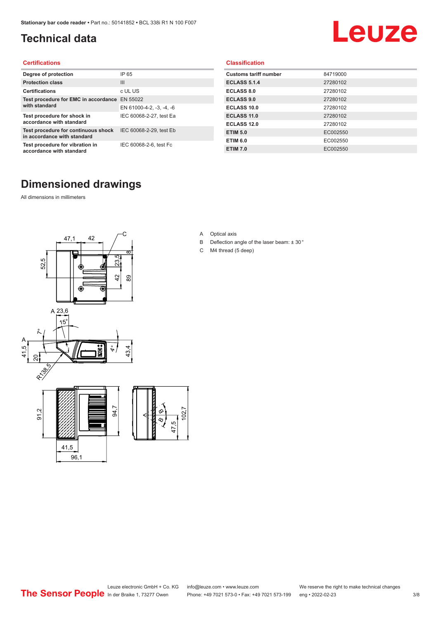### <span id="page-2-0"></span>**Technical data**

# Leuze

#### **Certifications**

| Degree of protection                                               | IP 65                    |
|--------------------------------------------------------------------|--------------------------|
| <b>Protection class</b>                                            | $\mathbf{III}$           |
| <b>Certifications</b>                                              | c UL US                  |
| Test procedure for EMC in accordance                               | EN 55022                 |
| with standard                                                      | EN 61000-4-2, -3, -4, -6 |
| Test procedure for shock in<br>accordance with standard            | IEC 60068-2-27, test Ea  |
| Test procedure for continuous shock<br>in accordance with standard | IEC 60068-2-29, test Eb  |
| Test procedure for vibration in<br>accordance with standard        | IEC 60068-2-6, test Fc   |

#### **Classification**

| <b>Customs tariff number</b> | 84719000 |
|------------------------------|----------|
| <b>ECLASS 5.1.4</b>          | 27280102 |
| <b>ECLASS 8.0</b>            | 27280102 |
| <b>ECLASS 9.0</b>            | 27280102 |
| ECLASS 10.0                  | 27280102 |
| <b>ECLASS 11.0</b>           | 27280102 |
| ECLASS 12.0                  | 27280102 |
| <b>ETIM 5.0</b>              | EC002550 |
| <b>ETIM 6.0</b>              | EC002550 |
| <b>ETIM 7.0</b>              | EC002550 |

#### **Dimensioned drawings**

All dimensions in millimeters



- A Optical axis
- B Deflection angle of the laser beam: ± 30 °
- C M4 thread (5 deep)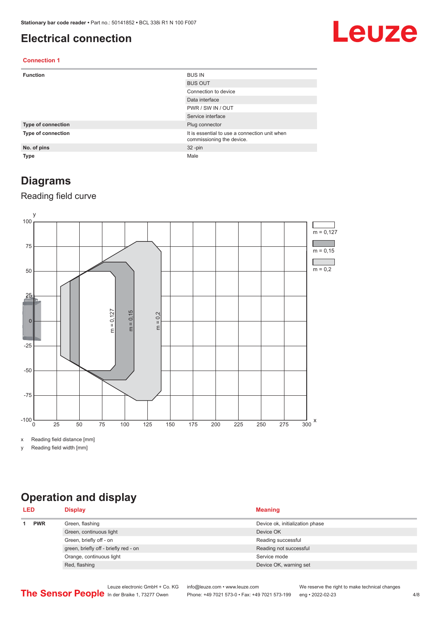#### <span id="page-3-0"></span>**Electrical connection**

## Leuze

#### **Connection 1**

| <b>Function</b>    | <b>BUS IN</b>                                                              |
|--------------------|----------------------------------------------------------------------------|
|                    | <b>BUS OUT</b>                                                             |
|                    | Connection to device                                                       |
|                    | Data interface                                                             |
|                    | PWR / SW IN / OUT                                                          |
|                    | Service interface                                                          |
| Type of connection | Plug connector                                                             |
| Type of connection | It is essential to use a connection unit when<br>commissioning the device. |
| No. of pins        | $32 - pin$                                                                 |
| <b>Type</b>        | Male                                                                       |

#### **Diagrams**

#### Reading field curve



x Reading field distance [mm]

y Reading field width [mm]

### **Operation and display**

| <b>PWR</b><br>Green, flashing<br>Device ok, initialization phase<br>Green, continuous light<br>Device OK | <b>LED</b> | <b>Display</b>          | <b>Meaning</b>     |
|----------------------------------------------------------------------------------------------------------|------------|-------------------------|--------------------|
|                                                                                                          |            |                         |                    |
|                                                                                                          |            |                         |                    |
|                                                                                                          |            | Green, briefly off - on | Reading successful |
| green, briefly off - briefly red - on<br>Reading not successful                                          |            |                         |                    |
| Orange, continuous light<br>Service mode                                                                 |            |                         |                    |
| Red, flashing<br>Device OK, warning set                                                                  |            |                         |                    |

Leuze electronic GmbH + Co. KG info@leuze.com • www.leuze.com We reserve the right to make technical changes<br>
The Sensor People in der Braike 1, 73277 Owen Phone: +49 7021 573-0 • Fax: +49 7021 573-199 eng • 2022-02-23 Phone: +49 7021 573-0 • Fax: +49 7021 573-199 eng • 2022-02-23 4/8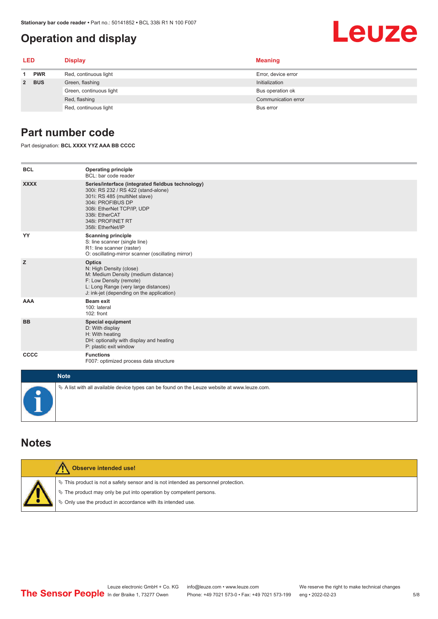#### <span id="page-4-0"></span>**Operation and display**

# Leuze

| <b>LED</b> |            | <b>Display</b>          | <b>Meaning</b>      |
|------------|------------|-------------------------|---------------------|
| 1.         | <b>PWR</b> | Red, continuous light   | Error, device error |
| 2 BUS      |            | Green, flashing         | Initialization      |
|            |            | Green, continuous light | Bus operation ok    |
|            |            | Red, flashing           | Communication error |
|            |            | Red, continuous light   | Bus error           |

#### **Part number code**

Part designation: **BCL XXXX YYZ AAA BB CCCC**

| <b>BCL</b>  | <b>Operating principle</b><br>BCL: bar code reader                                                                                                                                                                                       |
|-------------|------------------------------------------------------------------------------------------------------------------------------------------------------------------------------------------------------------------------------------------|
| <b>XXXX</b> | Series/interface (integrated fieldbus technology)<br>300i: RS 232 / RS 422 (stand-alone)<br>301i: RS 485 (multiNet slave)<br>304i: PROFIBUS DP<br>308i: EtherNet TCP/IP, UDP<br>338i: EtherCAT<br>348i: PROFINET RT<br>358i: EtherNet/IP |
| YY          | <b>Scanning principle</b><br>S: line scanner (single line)<br>R1: line scanner (raster)<br>O: oscillating-mirror scanner (oscillating mirror)                                                                                            |
| z           | <b>Optics</b><br>N: High Density (close)<br>M: Medium Density (medium distance)<br>F: Low Density (remote)<br>L: Long Range (very large distances)<br>J: ink-jet (depending on the application)                                          |
| <b>AAA</b>  | <b>Beam exit</b><br>100: lateral<br>$102:$ front                                                                                                                                                                                         |
| <b>BB</b>   | <b>Special equipment</b><br>D: With display<br>H: With heating<br>DH: optionally with display and heating<br>P: plastic exit window                                                                                                      |
| cccc        | <b>Functions</b><br>F007: optimized process data structure                                                                                                                                                                               |
| <b>Note</b> |                                                                                                                                                                                                                                          |
|             | $\&$ A list with all available device types can be found on the Leuze website at www.leuze.com.                                                                                                                                          |

#### **Notes**

| Observe intended use!                                                                                                                                                                                                         |
|-------------------------------------------------------------------------------------------------------------------------------------------------------------------------------------------------------------------------------|
| $\%$ This product is not a safety sensor and is not intended as personnel protection.<br>$\%$ The product may only be put into operation by competent persons.<br>§ Only use the product in accordance with its intended use. |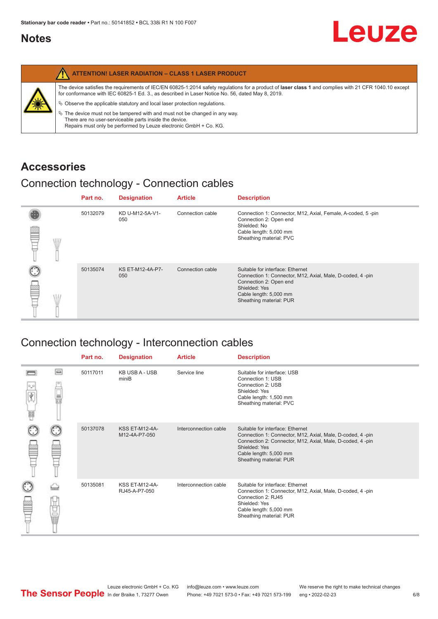#### <span id="page-5-0"></span>**Notes**

|   | <b>ATTENTION! LASER RADIATION - CLASS 1 LASER PRODUCT</b>                                                                                                                                                                                                                                                                                                                                                                                                                                                                                                   |
|---|-------------------------------------------------------------------------------------------------------------------------------------------------------------------------------------------------------------------------------------------------------------------------------------------------------------------------------------------------------------------------------------------------------------------------------------------------------------------------------------------------------------------------------------------------------------|
| 纂 | The device satisfies the requirements of IEC/EN 60825-1:2014 safety requlations for a product of laser class 1 and complies with 21 CFR 1040.10 except<br>for conformance with IEC 60825-1 Ed. 3., as described in Laser Notice No. 56, dated May 8, 2019.<br>$\&$ Observe the applicable statutory and local laser protection regulations.<br>$\%$ The device must not be tampered with and must not be changed in any way.<br>There are no user-serviceable parts inside the device.<br>Repairs must only be performed by Leuze electronic GmbH + Co. KG. |

#### **Accessories**

#### Connection technology - Connection cables

|  |      | Part no. | <b>Designation</b>      | <b>Article</b>   | <b>Description</b>                                                                                                                                                                            |
|--|------|----------|-------------------------|------------------|-----------------------------------------------------------------------------------------------------------------------------------------------------------------------------------------------|
|  | \ll. | 50132079 | KD U-M12-5A-V1-<br>050  | Connection cable | Connection 1: Connector, M12, Axial, Female, A-coded, 5-pin<br>Connection 2: Open end<br>Shielded: No<br>Cable length: 5,000 mm<br>Sheathing material: PVC                                    |
|  |      | 50135074 | KS ET-M12-4A-P7-<br>050 | Connection cable | Suitable for interface: Ethernet<br>Connection 1: Connector, M12, Axial, Male, D-coded, 4-pin<br>Connection 2: Open end<br>Shielded: Yes<br>Cable length: 5,000 mm<br>Sheathing material: PUR |

### Connection technology - Interconnection cables

|        |    | Part no. | <b>Designation</b>                     | <b>Article</b>        | <b>Description</b>                                                                                                                                                                                                               |
|--------|----|----------|----------------------------------------|-----------------------|----------------------------------------------------------------------------------------------------------------------------------------------------------------------------------------------------------------------------------|
| Ý<br>Ħ | ▣  | 50117011 | <b>KB USB A - USB</b><br>miniB         | Service line          | Suitable for interface: USB<br>Connection 1: USB<br>Connection 2: USB<br>Shielded: Yes<br>Cable length: 1,500 mm<br>Sheathing material: PVC                                                                                      |
|        |    | 50137078 | <b>KSS ET-M12-4A-</b><br>M12-4A-P7-050 | Interconnection cable | Suitable for interface: Ethernet<br>Connection 1: Connector, M12, Axial, Male, D-coded, 4-pin<br>Connection 2: Connector, M12, Axial, Male, D-coded, 4-pin<br>Shielded: Yes<br>Cable length: 5,000 mm<br>Sheathing material: PUR |
|        | 世軍 | 50135081 | <b>KSS ET-M12-4A-</b><br>RJ45-A-P7-050 | Interconnection cable | Suitable for interface: Ethernet<br>Connection 1: Connector, M12, Axial, Male, D-coded, 4-pin<br>Connection 2: RJ45<br>Shielded: Yes<br>Cable length: 5,000 mm<br>Sheathing material: PUR                                        |

Leuze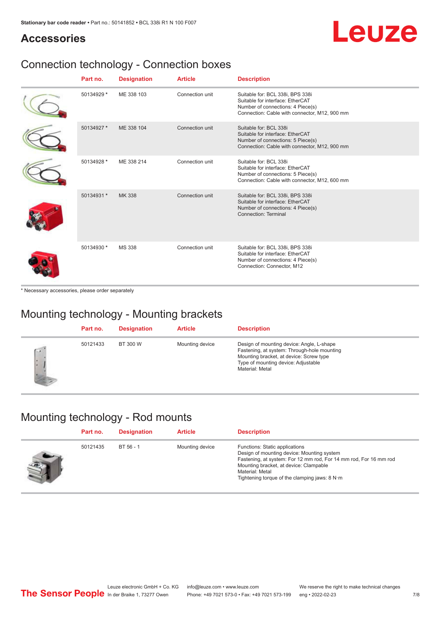## Leuze

#### **Accessories**

### Connection technology - Connection boxes

| Part no.   | <b>Designation</b> | <b>Article</b>  | <b>Description</b>                                                                                                                                         |
|------------|--------------------|-----------------|------------------------------------------------------------------------------------------------------------------------------------------------------------|
| 50134929 * | ME 338 103         | Connection unit | Suitable for: BCL 338i, BPS 338i<br>Suitable for interface: EtherCAT<br>Number of connections: 4 Piece(s)<br>Connection: Cable with connector, M12, 900 mm |
| 50134927 * | ME 338 104         | Connection unit | Suitable for: BCL 338i<br>Suitable for interface: EtherCAT<br>Number of connections: 5 Piece(s)<br>Connection: Cable with connector, M12, 900 mm           |
| 50134928 * | ME 338 214         | Connection unit | Suitable for: BCL 338i<br>Suitable for interface: EtherCAT<br>Number of connections: 5 Piece(s)<br>Connection: Cable with connector, M12, 600 mm           |
| 50134931 * | <b>MK338</b>       | Connection unit | Suitable for: BCL 338i, BPS 338i<br>Suitable for interface: EtherCAT<br>Number of connections: 4 Piece(s)<br>Connection: Terminal                          |
| 50134930 * | <b>MS 338</b>      | Connection unit | Suitable for: BCL 338i, BPS 338i<br>Suitable for interface: EtherCAT<br>Number of connections: 4 Piece(s)<br>Connection: Connector, M12                    |

\* Necessary accessories, please order separately

### Mounting technology - Mounting brackets

|              | Part no. | <b>Designation</b> | <b>Article</b>  | <b>Description</b>                                                                                                                                                                            |
|--------------|----------|--------------------|-----------------|-----------------------------------------------------------------------------------------------------------------------------------------------------------------------------------------------|
| $\sim$<br>ı. | 50121433 | BT 300 W           | Mounting device | Design of mounting device: Angle, L-shape<br>Fastening, at system: Through-hole mounting<br>Mounting bracket, at device: Screw type<br>Type of mounting device: Adjustable<br>Material: Metal |

#### Mounting technology - Rod mounts

| Part no. | <b>Designation</b> | <b>Article</b>  | <b>Description</b>                                                                                                                                                                                                                                                |
|----------|--------------------|-----------------|-------------------------------------------------------------------------------------------------------------------------------------------------------------------------------------------------------------------------------------------------------------------|
| 50121435 | BT 56 - 1          | Mounting device | Functions: Static applications<br>Design of mounting device: Mounting system<br>Fastening, at system: For 12 mm rod, For 14 mm rod, For 16 mm rod<br>Mounting bracket, at device: Clampable<br>Material: Metal<br>Tightening torque of the clamping jaws: $8 N·m$ |